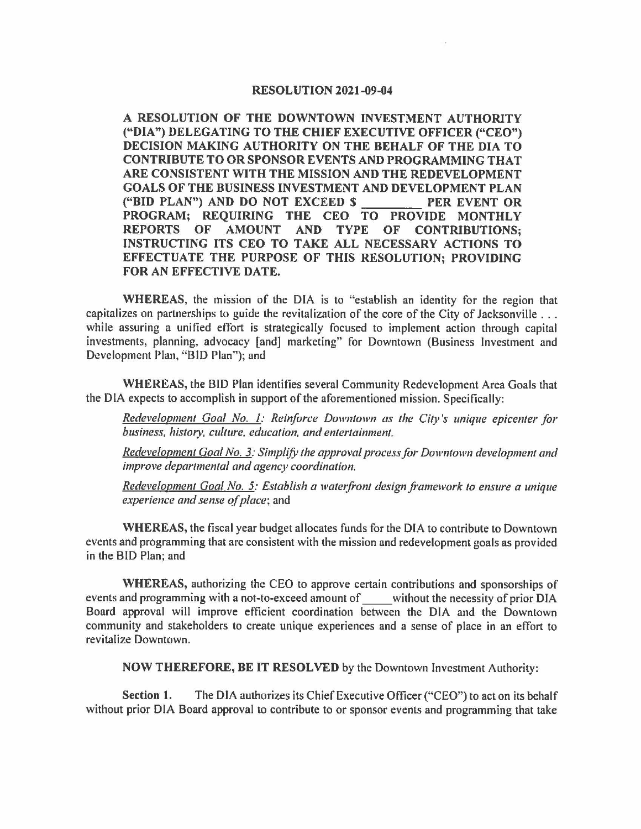## **RESOLUTION 2021-09-04**

**A RESOLUTION OF THE DOWNTOWN INVESTMENT AUTHORITY ("DIA") DELEGATING TO THE CHIEF EXECUTIVE OFFICER ("CEO") DECISION MAKING AUTHORITY ON THE BEHALF OF THE DIA TO CONTRIBUTE TO OR SPONSOR EVENTS AND PROGRAMMING THAT ARE CONSISTENT WITH THE MISSION AND THE REDEVELOPMENT GOALS OF THE BUSINESS INVESTMENT AND DEVELOPMENT PLAN ("BID PLAN") AND DO NOT EXCEED\$ \_\_\_\_ PER EVENT OR PROGRAM; REQUIRING THE CEO TO PROVIDE MONTHLY REPORTS OF AMOUNT AND TYPE OF CONTRIBUTIONS; INSTRUCTING ITS CEO TO TAKE ALL NECESSARY ACTIONS TO EFFECTUATE THE PURPOSE OF THIS RESOLUTION; PROVIDING FOR AN EFFECTIVE DATE.** 

**WHEREAS,** the mission of the DIA is to "establish an identity for the region that capitalizes on partnerships to guide the revitalization of the core of the City of Jacksonville ... while assuring a unified effort is strategically focused to implement action through capital investments, planning, advocacy [and] marketing" for Downtown (Business Investment and Development Plan, "BID Plan"); and

**WHEREAS,** the BID Plan identifies several Community Redevelopment Area Goals that the DIA expects to accomplish in support of the aforementioned mission. Specifically:

*Redevelopment Goal No. 1: Reinforce Downtown as !he City 's unique epicenler for business, history, culture, education, and entertainment.* 

*Redevelopment Goal No. 3: Simplify !he approval process for Downtown developmenl and improve deparlmenlal and agency coordination.* 

*Redevelopment Goal No. 5: Establish a waterfront design framework to ensure a unique experience and sense of place;* and

**WHEREAS,** the fiscal year budget allocates funds for the DIA to contribute to Downtown events and programming that are consistent with the mission and redevelopment goals as provided in the BID Plan; and

**WHEREAS,** authorizing the CEO to approve certain contributions and sponsorships of events and programming with a not-to-exceed amount of without the necessity of prior DIA Board approval will improve efficient coordination between the DIA and the Downtown community and stakeholders to create unique experiences and a sense of place in an effort to revitalize Downtown.

**NOW THEREFORE, BE IT RESOLVED** by the Downtown Investment Authority:

**Section l.** The DIA authorizes its Chief Executive Officer ("CEO") to act on its behalf without prior DIA Board approval to contribute to or sponsor events and programming that take